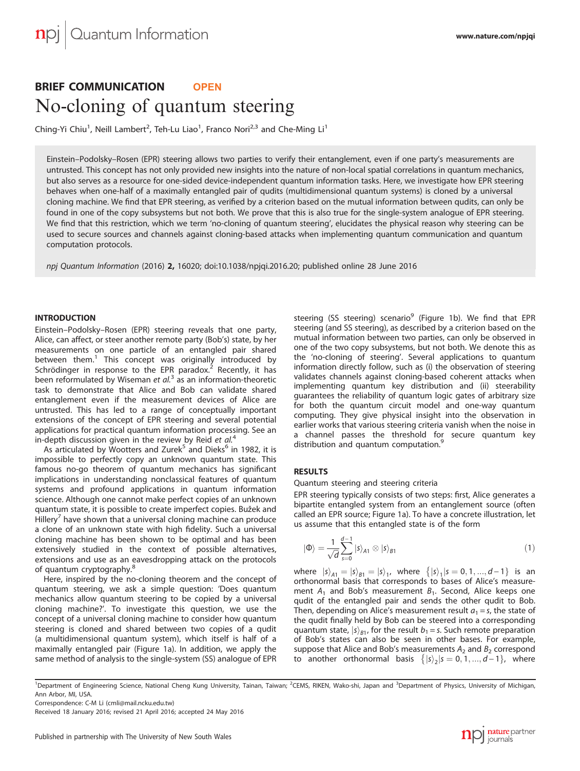# BRIEF COMMUNICATION **OPEN**

Ching-Yi Chiu<sup>1</sup>, Neill Lambert<sup>2</sup>, Teh-Lu Liao<sup>1</sup>, Franco Nori<sup>2,3</sup> and Che-Ming Li<sup>1</sup>

Einstein–Podolsky–Rosen (EPR) steering allows two parties to verify their entanglement, even if one party's measurements are untrusted. This concept has not only provided new insights into the nature of non-local spatial correlations in quantum mechanics, but also serves as a resource for one-sided device-independent quantum information tasks. Here, we investigate how EPR steering behaves when one-half of a maximally entangled pair of qudits (multidimensional quantum systems) is cloned by a universal cloning machine. We find that EPR steering, as verified by a criterion based on the mutual information between qudits, can only be found in one of the copy subsystems but not both. We prove that this is also true for the single-system analogue of EPR steering. We find that this restriction, which we term 'no-cloning of quantum steering', elucidates the physical reason why steering can be used to secure sources and channels against cloning-based attacks when implementing quantum communication and quantum computation protocols.

npj Quantum Information (2016) 2, 16020; doi:[10.1038/npjqi.2016.20](http://dx.doi.org/10.1038/npjqi.2016.20); published online 28 June 2016

## **INTRODUCTION**

Einstein–Podolsky–Rosen (EPR) steering reveals that one party, Alice, can affect, or steer another remote party (Bob's) state, by her measurements on one particle of an entangled pair shared between them.<sup>[1](#page-3-0)</sup> This concept was originally introduced by Schrödinger in response to the EPR paradox.<sup>[2](#page-3-0)</sup> Recently, it has been reformulated by Wiseman et  $al<sup>3</sup>$  $al<sup>3</sup>$  $al<sup>3</sup>$  as an information-theoretic task to demonstrate that Alice and Bob can validate shared entanglement even if the measurement devices of Alice are untrusted. This has led to a range of conceptually important extensions of the concept of EPR steering and several potential applications for practical quantum information processing. See an in-depth discussion given in the review by Reid et  $al<sup>4</sup>$  $al<sup>4</sup>$  $al<sup>4</sup>$ 

As articulated by Wootters and Zurek<sup>[5](#page-3-0)</sup> and Dieks<sup>[6](#page-3-0)</sup> in 1982, it is impossible to perfectly copy an unknown quantum state. This famous no-go theorem of quantum mechanics has significant implications in understanding nonclassical features of quantum systems and profound applications in quantum information science. Although one cannot make perfect copies of an unknown quantum state, it is possible to create imperfect copies. Bužek and Hillery<sup>[7](#page-3-0)</sup> have shown that a universal cloning machine can produce a clone of an unknown state with high fidelity. Such a universal cloning machine has been shown to be optimal and has been extensively studied in the context of possible alternatives, extensions and use as an eavesdropping attack on the protocols of quantum cryptography.<sup>[8](#page-3-0)</sup>

Here, inspired by the no-cloning theorem and the concept of quantum steering, we ask a simple question: 'Does quantum mechanics allow quantum steering to be copied by a universal cloning machine?'. To investigate this question, we use the concept of a universal cloning machine to consider how quantum steering is cloned and shared between two copies of a qudit (a multidimensional quantum system), which itself is half of a maximally entangled pair [\(Figure 1a\)](#page-1-0). In addition, we apply the same method of analysis to the single-system (SS) analogue of EPR steering (SS steering) scenario<sup>[9](#page-3-0)</sup> ([Figure 1b\)](#page-1-0). We find that EPR steering (and SS steering), as described by a criterion based on the mutual information between two parties, can only be observed in one of the two copy subsystems, but not both. We denote this as the 'no-cloning of steering'. Several applications to quantum information directly follow, such as (i) the observation of steering validates channels against cloning-based coherent attacks when implementing quantum key distribution and (ii) steerability guarantees the reliability of quantum logic gates of arbitrary size for both the quantum circuit model and one-way quantum computing. They give physical insight into the observation in earlier works that various steering criteria vanish when the noise in a channel passes the threshold for secure quantum key distribution and quantum computation.<sup>[9](#page-3-0)</sup>

## **RESULTS**

Quantum steering and steering criteria

EPR steering typically consists of two steps: first, Alice generates a bipartite entangled system from an entanglement source (often called an EPR source; [Figure 1a](#page-1-0)). To have a concrete illustration, let us assume that this entangled state is of the form

$$
|\Phi\rangle = \frac{1}{\sqrt{d}} \sum_{s=0}^{d-1} |s\rangle_{A1} \otimes |s\rangle_{B1}
$$
 (1)

where  $|s\rangle_{A1} = |s\rangle_{B1} = |s\rangle_{1}$ , where  $\{|s\rangle_{1}| s = 0, 1, ..., d - 1\}$  is an orthonormal basis that corresponds to bases of Alice's measurement  $A_1$  and Bob's measurement  $B_1$ . Second, Alice keeps one qudit of the entangled pair and sends the other qudit to Bob. Then, depending on Alice's measurement result  $a_1 = s$ , the state of the qudit finally held by Bob can be steered into a corresponding quantum state,  $|s\rangle_{B1}$ , for the result  $b_1 = s$ . Such remote preparation of Bob's states can also be seen in other bases. For example, suppose that Alice and Bob's measurements  $A_2$  and  $B_2$  correspond to another orthonormal basis  $\{|s\rangle_{2}|s = 0, 1, ..., d - 1\}$ , where

<sup>1</sup>Department of Engineering Science, National Cheng Kung University, Tainan, Taiwan; <sup>2</sup>CEMS, RIKEN, Wako-shi, Japan and <sup>3</sup>Department of Physics, University of Michigan, Ann Arbor, MI, USA.

Correspondence: C-M Li ([cmli@mail.ncku.edu.tw](mailto:cmli@mail.ncku.edu.tw))



Received 18 January 2016; revised 21 April 2016; accepted 24 May 2016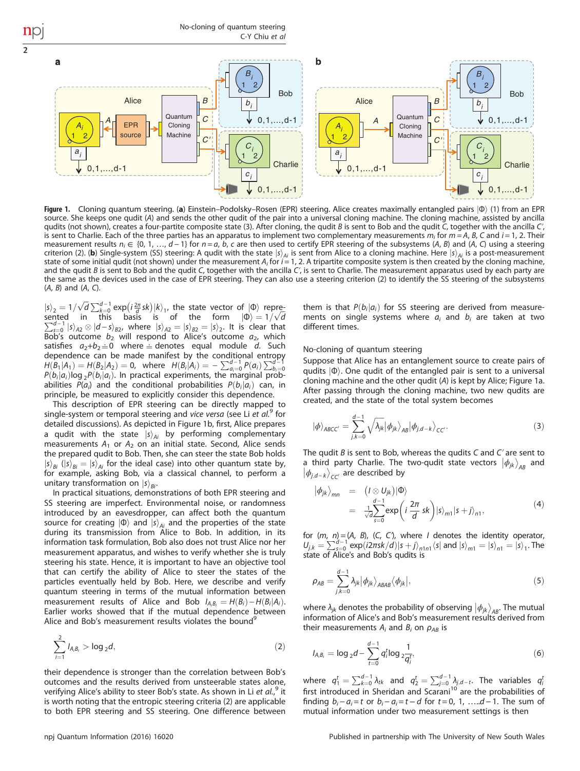<span id="page-1-0"></span>No-cloning of quantum steering C-Y Chiu et al a  $\mathbf b$ *Bi Bi* 1 2 1 2 **Bob** Bob Alice *B* Alice *B bi bi* Quantum Quantum *C* 0,1,...,d-1 *C* 0,1,...,d-1 **A EPR B A** Column **C A C A C A C A C A** *A Ai* EPR Cloning Cloning source Machine Machine 1 2 1 2 *C' C' Ci Ci ai ai* 1 2 1 2 **Charlie Charlie** 0,1,...,d-1 0,1,...,d-1 *ci ci*  $0,1,...,d-1$  $0,1,...,d-1$ 

Figure 1. Cloning quantum steering. (a) Einstein–Podolsky–Rosen (EPR) steering. Alice creates maximally entangled pairs  $|\Phi\rangle$  (1) from an EPR source. She keeps one qudit (A) and sends the other qudit of the pair into a universal cloning machine. The cloning machine, assisted by ancilla qudits (not shown), creates a four-partite composite state (3). After cloning, the qudit B is sent to Bob and the qudit C, together with the ancilla C', is sent to Charlie. Each of the three parties has an apparatus to implement two complementary measurements  $m_i$  for  $m = A$ , B, C and  $i = 1$ , 2. Their measurement results  $n_i \in \{0, 1, ..., d-1\}$  for  $n = a$ , b, c are then used to certify EPR steering of the subsystems (A, B) and (A, C) using a steering criterion (2). (b) Single-system (SS) steering: A qudit with the state  $\ket{s}_{\mathit{Ai}}$  is sent from Alice to a cloning machine. Here  $\ket{s}_{\mathit{Ai}}$  is a post-measurement<br>state of some initial qudit (not shown) under the measur and the qudit B is sent to Bob and the qudit C, together with the ancilla  $C$ , is sent to Charlie. The measurement apparatus used by each party are the same as the devices used in the case of EPR steering. They can also use a steering criterion (2) to identify the SS steering of the subsystems  $(A, B)$  and  $(A, C)$ .

 $|s\rangle_2 = 1/\sqrt{d} \sum_{k=0}^{d-1} \exp(i\frac{2\pi}{d}sk)|k\rangle_1$ , the state vector of  $|\Phi\rangle$  repre-<br>sented in this basis is of the form  $|\Phi\rangle = 1/\sqrt{d}$ sented in this basis is of the form  $|\Phi\rangle = 1/\sqrt{d}$ <br> $\sum^{d-1} |s\rangle_{\theta} \otimes |d-s\rangle_{\theta}$  where  $|s\rangle_{\theta} = |s\rangle_{\theta} = |s\rangle_{\theta}$  it is clear that  $\sum_{s=0}^{d-1} |s\rangle_{A2} \otimes |d-s\rangle_{B2}$ , where  $|s\rangle_{A2} = |s\rangle_{B2} = |s\rangle_{2}$ . It is clear that Bob's outcome  $b_2$  will respond to Alice's outcome  $a_2$ , which satisfies  $a_2+b_2=0$  where  $\equiv$  denotes equal module d. Such dependence can be made manifest by the conditional entropy<br>  $H(B_1|A_1) = H(B_2|A_2) = 0$ , where  $H(B_i|A_i) = -\sum_{a_i=0}^{d-1} P(a_i) \sum_{b_i=0}^{d-1} P(b_i|a_i) \log_2 P(b_i|a_i)$ . In practical experiments, the marginal prob-<br>
abilities  $P(a_i)$  and t abilities  $P(a_i)$  and the conditional probabilities  $P(b_i|a_i)$  can, in principle, be measured to explicitly consider this dependence. principle, be measured to explicitly consider this dependence.

2

This description of EPR steering can be directly mapped to single-system or temporal steering and vice versa (see Li et al.<sup>[9](#page-3-0)</sup> for detailed discussions). As depicted in Figure 1b, first, Alice prepares a qudit with the state  $|s\rangle_{Ai}$  by performing complementary measurements  $A_1$  or  $A_2$  on an initial state. Second, Alice sends the prepared qudit to Bob. Then, she can steer the state Bob holds  $|s\rangle_{Bi}$  ( $|s\rangle_{Bi} = |s\rangle_{Ai}$  for the ideal case) into other quantum state by, for example, asking Bob, via a classical channel, to perform a unitary transformation on  $|s\rangle_{Bi}$ .

In practical situations, demonstrations of both EPR steering and SS steering are imperfect. Environmental noise, or randomness introduced by an eavesdropper, can affect both the quantum source for creating  $| \Phi \rangle$  and  $| s \rangle_{Ai}$  and the properties of the state during its transmission from Alice to Bob. In addition, in its information task formulation, Bob also does not trust Alice nor her measurement apparatus, and wishes to verify whether she is truly steering his state. Hence, it is important to have an objective tool that can certify the ability of Alice to steer the states of the particles eventually held by Bob. Here, we describe and verify quantum steering in terms of the mutual information between measurement results of Alice and Bob  $I_{A_iB_i} = H(B_i) - H(B_i|A_i)$ . Earlier works showed that if the mutual dependence between Alice and Bob's measurement results violates the bound<sup>9</sup>

$$
\sum_{i=1}^{2} I_{A_i B_i} > \log_2 d,
$$
 (2)

their dependence is stronger than the correlation between Bob's outcomes and the results derived from unsteerable states alone, verifying Alice's ability to steer Bob's state. As shown in Li et al.,<sup>[9](#page-3-0)</sup> it is worth noting that the entropic steering criteria (2) are applicable to both EPR steering and SS steering. One difference between them is that  $P(b_i|a_i)$  for SS steering are derived from measurements on single systems where  $a_i$  and  $b_i$  are taken at two different times.

# No-cloning of quantum steering

Suppose that Alice has an entanglement source to create pairs of qudits  $|\Phi\rangle$ . One qudit of the entangled pair is sent to a universal cloning machine and the other qudit (A) is kept by Alice; Figure 1a. After passing through the cloning machine, two new qudits are created, and the state of the total system becomes

$$
|\phi\rangle_{ABCC'} = \sum_{j,k=0}^{d-1} \sqrt{\lambda_{jk}} |\phi_{jk}\rangle_{AB} |\phi_{j,d-k}\rangle_{CC'}.
$$
 (3)

The qudit  $B$  is sent to Bob, whereas the qudits  $C$  and  $C'$  are sent to a third party Charlie. The two-qudit state vectors  $\ket{\phi_{jk}}_{AB}$  and  $\ket{\phi_{j,d-k}}_{CC'}$  are described by

$$
\begin{array}{rcl}\n\langle \phi_{jk} \rangle_{mn} & = & \left( I \otimes U_{jk} \right) \langle \Phi \rangle \\
& = & \frac{d-1}{\sqrt{d}} \sum_{s=0}^{d-1} \exp\left( i \frac{2\pi}{d} sk \right) \langle s \rangle_{m1} \langle s + j \rangle_{n1},\n\end{array} \tag{4}
$$

for  $(m, n) = (A, B), (C, C)$ , where I denotes the identity operator,<br>  $U_{j,k} = \sum_{s=0}^{d-1} \exp(i2\pi sk/d)|s+j\rangle_{n!n!} \langle s|$  and  $|s\rangle_{m1} = |s\rangle_{n1} = |s\rangle_1$ . The state of Alice's and Bob's qudits is

$$
\rho_{AB} = \sum_{j,k=0}^{d-1} \lambda_{jk} |\phi_{jk}\rangle_{ABAB} \langle \phi_{jk}|,\tag{5}
$$

where  $\lambda_{jk}$  denotes the probability of observing  $|\phi_{jk}\rangle_{AB}$ . The mutual information of Alice's and Bob's measurement results derived from their measurements  $A_i$  and  $B_i$  on  $\rho_{AB}$  is

$$
I_{A_i B_i} = \log_2 d - \sum_{t=0}^{d-1} q_i^t \log_2 \frac{1}{q_i^t},
$$
 (6)

where  $q_1^t = \sum_{k=0}^{d-1} \lambda_{tk}$  and  $q_2^t = \sum_{j=0}^{d-1} \lambda_{j,d-t}$ . The variables  $q_i^t$  first introduced in Sheridan and Scarani<sup>[10](#page-3-0)</sup> are the probabilities of finding  $b_i - a_i = t$  or  $b_i - a_i = t - d$  for  $t = 0, 1, \ldots, d - 1$ . The sum of mutual information under two measurement settings is then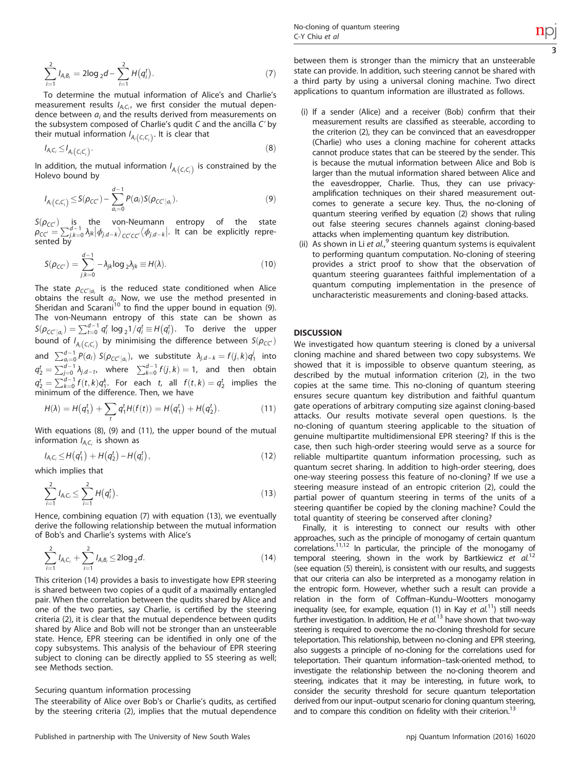$$
\sum_{i=1}^{2} I_{A_i B_i} = 2 \log_2 d - \sum_{i=1}^{2} H(q_i^t).
$$
 (7)

To determine the mutual information of Alice's and Charlie's measurement results  $I_{A_iC_i}$ , we first consider the mutual dependence between  $a_i$  and the results derived from measurements on the subsystem composed of Charlie's qudit C and the ancilla Cʹ by their mutual information  $I_{A_i(C_iC_i)}$ . It is clear that

$$
I_{A_iC_i} \leq I_{A_i(C_iC_i)}.
$$
\n
$$
(8)
$$

<sup>1</sup>A<sub>i</sub>C<sub>i</sub>  $\sum_{i=1}^{n} A_i$ <sub>C<sub>i</sub>C<sub>i</sub>)</sub>. (b)<br>In addition, the mutual information  $I_{A_i}(c_i c_i)$  is constrained by the<br>Holevo bound by Holevo bound by

$$
I_{A_i(C_iC_i)} \leq S(\rho_{CC'}) - \sum_{a_i=0}^{d-1} P(a_i) S(\rho_{CC'|a_i}).
$$
\n(9)

 $S(\rho_{CC'})$  is the von-Neumann entropy of the state<br>  $\rho_{CC'} = \sum_{j,k=0}^{d-1} \lambda_{jk} |\phi_{j,d-k}\rangle_{CC'CC'} \langle \phi_{j,d-k}|$ . It can be explicitly repre-<br>
sented by

$$
S(\rho_{CC'}) = \sum_{j,k=0}^{d-1} -\lambda_{jk} \log_2 \lambda_{jk} \equiv H(\lambda). \tag{10}
$$

The state  $\rho_{CC'|a_i}$  is the reduced state conditioned when Alice obtains the result  $a_i$ . Now, we use the method presented in Sheridan and Scarani<sup>[10](#page-3-0)</sup> to find the upper bound in equation (9). The von-Neumann entropy of this state can be shown as  $S(\rho_{\text{CC'}}|_{a_i}) = \sum_{t=0}^{d-1} q_i^t \log_2 1/q_i^t \equiv H(q_i^t)$ . To derive the upper bound of  $I_{A_i(C_i C_i)}$  by minimising the difference between  $S(\rho_{CC})$ bound of  $I_{A_i(C_iC_i)}$  by minimising the dimerence between  $S(p_{CC})$ <br>and  $\sum_{a_i=0}^{d-1} P(a_i) S(p_{CC'|a_i})$ , we substitute  $\lambda_{j,d-k} = f(j,k)q_1^j$  into  $q_2^t = \sum_{j=0}^{d-1} \lambda_{j,d-t}$ , where  $\sum_{k=0}^{d-1} f(j,k) = 1$ , and then obtain  $q_2^t = \sum_{k=0}^{d-1} f(t, k) q_1^k$ . For each t, all  $f(t, k) = q_2^t$  implies the minimum of the difference Then we have minimum of the difference. Then, we have

$$
H(\lambda) = H(q_1^t) + \sum_t q_1^t H(f(t)) = H(q_1^t) + H(q_2^t).
$$
 (11)

With equations (8), (9) and (11), the upper bound of the mutual information  $I_{A_iC_i}$  is shown as

$$
I_{A_iC_i} \leq H(q_1^t) + H(q_2^t) - H(q_i^t), \qquad (12)
$$

which implies that

$$
\sum_{i=1}^{2} I_{A_i C_i} \le \sum_{i=1}^{2} H(q_i^t).
$$
 (13)

Hence, combining equation (7) with equation (13), we eventually derive the following relationship between the mutual information of Bob's and Charlie's systems with Alice's

$$
\sum_{i=1}^{2} I_{A_i C_i} + \sum_{i=1}^{2} I_{A_i B_i} \le 2 \log_2 d.
$$
 (14)

This criterion (14) provides a basis to investigate how EPR steering is shared between two copies of a qudit of a maximally entangled pair. When the correlation between the qudits shared by Alice and one of the two parties, say Charlie, is certified by the steering criteria (2), it is clear that the mutual dependence between qudits shared by Alice and Bob will not be stronger than an unsteerable state. Hence, EPR steering can be identified in only one of the copy subsystems. This analysis of the behaviour of EPR steering subject to cloning can be directly applied to SS steering as well; see Methods section.

## Securing quantum information processing

The steerability of Alice over Bob's or Charlie's qudits, as certified by the steering criteria (2), implies that the mutual dependence between them is stronger than the mimicry that an unsteerable state can provide. In addition, such steering cannot be shared with a third party by using a universal cloning machine. Two direct applications to quantum information are illustrated as follows.

- (i) If a sender (Alice) and a receiver (Bob) confirm that their measurement results are classified as steerable, according to the criterion (2), they can be convinced that an eavesdropper (Charlie) who uses a cloning machine for coherent attacks cannot produce states that can be steered by the sender. This is because the mutual information between Alice and Bob is larger than the mutual information shared between Alice and the eavesdropper, Charlie. Thus, they can use privacyamplification techniques on their shared measurement outcomes to generate a secure key. Thus, the no-cloning of quantum steering verified by equation (2) shows that ruling out false steering secures channels against cloning-based attacks when implementing quantum key distribution.
- (ii) As shown in Li et al., <sup>[9](#page-3-0)</sup> steering quantum systems is equivalent to performing quantum computation. No-cloning of steering provides a strict proof to show that the observation of quantum steering guarantees faithful implementation of a quantum computing implementation in the presence of uncharacteristic measurements and cloning-based attacks.

# **DISCUSSION**

We investigated how quantum steering is cloned by a universal cloning machine and shared between two copy subsystems. We showed that it is impossible to observe quantum steering, as described by the mutual information criterion (2), in the two copies at the same time. This no-cloning of quantum steering ensures secure quantum key distribution and faithful quantum gate operations of arbitrary computing size against cloning-based attacks. Our results motivate several open questions. Is the no-cloning of quantum steering applicable to the situation of genuine multipartite multidimensional EPR steering? If this is the case, then such high-order steering would serve as a source for reliable multipartite quantum information processing, such as quantum secret sharing. In addition to high-order steering, does one-way steering possess this feature of no-cloning? If we use a steering measure instead of an entropic criterion (2), could the partial power of quantum steering in terms of the units of a steering quantifier be copied by the cloning machine? Could the total quantity of steering be conserved after cloning?

Finally, it is interesting to connect our results with other approaches, such as the principle of monogamy of certain quantum correlations.[11,12](#page-3-0) In particular, the principle of the monogamy of temporal steering, shown in the work by Bartkiewicz et al.<sup>[12](#page-3-0)</sup> (see equation (5) therein), is consistent with our results, and suggests that our criteria can also be interpreted as a monogamy relation in the entropic form. However, whether such a result can provide a relation in the form of Coffman–Kundu–Wootters monogamy inequality (see, for example, equation (1) in Kay et  $al^{11}$  $al^{11}$  $al^{11}$ ) still needs further investigation. In addition, He et  $al^{13}$  $al^{13}$  $al^{13}$  have shown that two-way steering is required to overcome the no-cloning threshold for secure teleportation. This relationship, between no-cloning and EPR steering, also suggests a principle of no-cloning for the correlations used for teleportation. Their quantum information–task-oriented method, to investigate the relationship between the no-cloning theorem and steering, indicates that it may be interesting, in future work, to consider the security threshold for secure quantum teleportation derived from our input–output scenario for cloning quantum steering, and to compare this condition on fidelity with their criterion.<sup>13</sup>